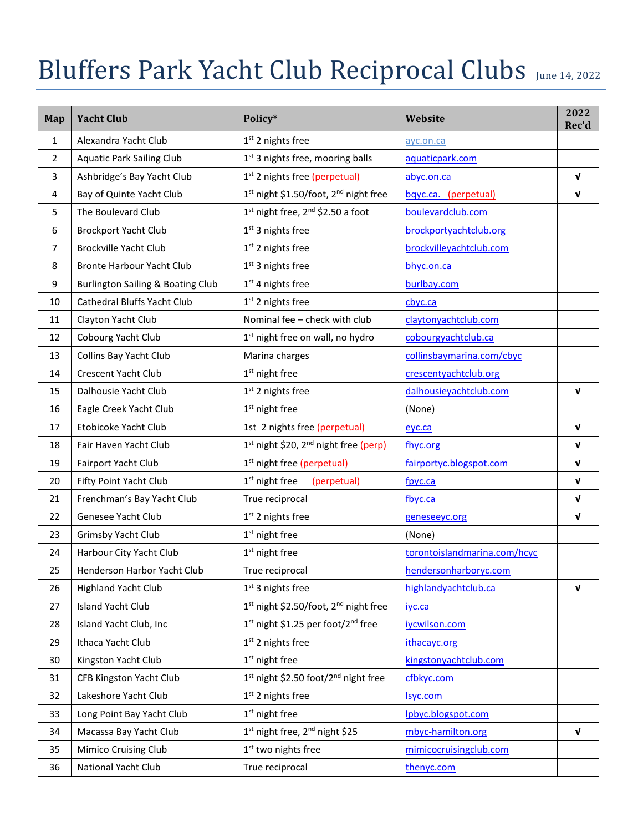## Bluffers Park Yacht Club Reciprocal Clubs June 14, 2022

| Map            | <b>Yacht Club</b>                            | Policy*                                                       | Website                      | 2022<br>Rec'd |
|----------------|----------------------------------------------|---------------------------------------------------------------|------------------------------|---------------|
| $\mathbf{1}$   | Alexandra Yacht Club                         | 1 <sup>st</sup> 2 nights free                                 | ayc.on.ca                    |               |
| $\overline{2}$ | <b>Aquatic Park Sailing Club</b>             | 1st 3 nights free, mooring balls                              | aquaticpark.com              |               |
| 3              | Ashbridge's Bay Yacht Club                   | 1 <sup>st</sup> 2 nights free (perpetual)                     | abyc.on.ca                   | $\mathbf v$   |
| 4              | Bay of Quinte Yacht Club                     | 1 <sup>st</sup> night \$1.50/foot, 2 <sup>nd</sup> night free | bqyc.ca. (perpetual)         | V             |
| 5              | The Boulevard Club                           | $1st$ night free, $2nd$ \$2.50 a foot                         | boulevardclub.com            |               |
| 6              | <b>Brockport Yacht Club</b>                  | 1 <sup>st</sup> 3 nights free                                 | brockportyachtclub.org       |               |
| $\overline{7}$ | <b>Brockville Yacht Club</b>                 | 1 <sup>st</sup> 2 nights free                                 | brockvilleyachtclub.com      |               |
| 8              | <b>Bronte Harbour Yacht Club</b>             | 1 <sup>st</sup> 3 nights free                                 | bhyc.on.ca                   |               |
| 9              | <b>Burlington Sailing &amp; Boating Club</b> | 1 <sup>st</sup> 4 nights free                                 | burlbay.com                  |               |
| 10             | <b>Cathedral Bluffs Yacht Club</b>           | 1 <sup>st</sup> 2 nights free                                 | cbyc.ca                      |               |
| 11             | Clayton Yacht Club                           | Nominal fee - check with club                                 | claytonyachtclub.com         |               |
| 12             | Cobourg Yacht Club                           | 1 <sup>st</sup> night free on wall, no hydro                  | cobourgyachtclub.ca          |               |
| 13             | Collins Bay Yacht Club                       | Marina charges                                                | collinsbaymarina.com/cbyc    |               |
| 14             | Crescent Yacht Club                          | 1 <sup>st</sup> night free                                    | crescentyachtclub.org        |               |
| 15             | Dalhousie Yacht Club                         | $1st$ 2 nights free                                           | dalhousieyachtclub.com       | $\mathbf{v}$  |
| 16             | Eagle Creek Yacht Club                       | 1 <sup>st</sup> night free                                    | (None)                       |               |
| 17             | Etobicoke Yacht Club                         | 1st 2 nights free (perpetual)                                 | eyc.ca                       | V             |
| 18             | Fair Haven Yacht Club                        | 1 <sup>st</sup> night \$20, 2 <sup>nd</sup> night free (perp) | fhyc.org                     | $\mathbf v$   |
| 19             | Fairport Yacht Club                          | 1 <sup>st</sup> night free (perpetual)                        | fairportyc.blogspot.com      | $\mathbf v$   |
| 20             | Fifty Point Yacht Club                       | $1st$ night free<br>(perpetual)                               | fpyc.ca                      | $\mathbf{v}$  |
| 21             | Frenchman's Bay Yacht Club                   | True reciprocal                                               | fbyc.ca                      | $\mathbf v$   |
| 22             | Genesee Yacht Club                           | 1 <sup>st</sup> 2 nights free                                 | geneseeyc.org                | $\mathbf v$   |
| 23             | Grimsby Yacht Club                           | 1 <sup>st</sup> night free                                    | (None)                       |               |
| 24             | Harbour City Yacht Club                      | 1 <sup>st</sup> night free                                    | torontoislandmarina.com/hcyc |               |
| 25             | Henderson Harbor Yacht Club                  | True reciprocal                                               | hendersonharboryc.com        |               |
| 26             | <b>Highland Yacht Club</b>                   | 1 <sup>st</sup> 3 nights free                                 | highlandyachtclub.ca         | $\mathbf v$   |
| 27             | <b>Island Yacht Club</b>                     | 1 <sup>st</sup> night \$2.50/foot, 2 <sup>nd</sup> night free | iyc.ca                       |               |
| 28             | Island Yacht Club, Inc                       | 1st night \$1.25 per foot/2 <sup>nd</sup> free                | iycwilson.com                |               |
| 29             | Ithaca Yacht Club                            | $1st$ 2 nights free                                           | ithacayc.org                 |               |
| 30             | Kingston Yacht Club                          | $1st$ night free                                              | kingstonyachtclub.com        |               |
| 31             | CFB Kingston Yacht Club                      | 1 <sup>st</sup> night \$2.50 foot/2 <sup>nd</sup> night free  | cfbkyc.com                   |               |
| 32             | Lakeshore Yacht Club                         | 1 <sup>st</sup> 2 nights free                                 | <u>Isyc.com</u>              |               |
| 33             | Long Point Bay Yacht Club                    | 1 <sup>st</sup> night free                                    | Ipbyc.blogspot.com           |               |
| 34             | Macassa Bay Yacht Club                       | 1st night free, 2 <sup>nd</sup> night \$25                    | mbyc-hamilton.org            | V             |
| 35             | <b>Mimico Cruising Club</b>                  | 1 <sup>st</sup> two nights free                               | mimicocruisingclub.com       |               |
| 36             | National Yacht Club                          | True reciprocal                                               | thenyc.com                   |               |